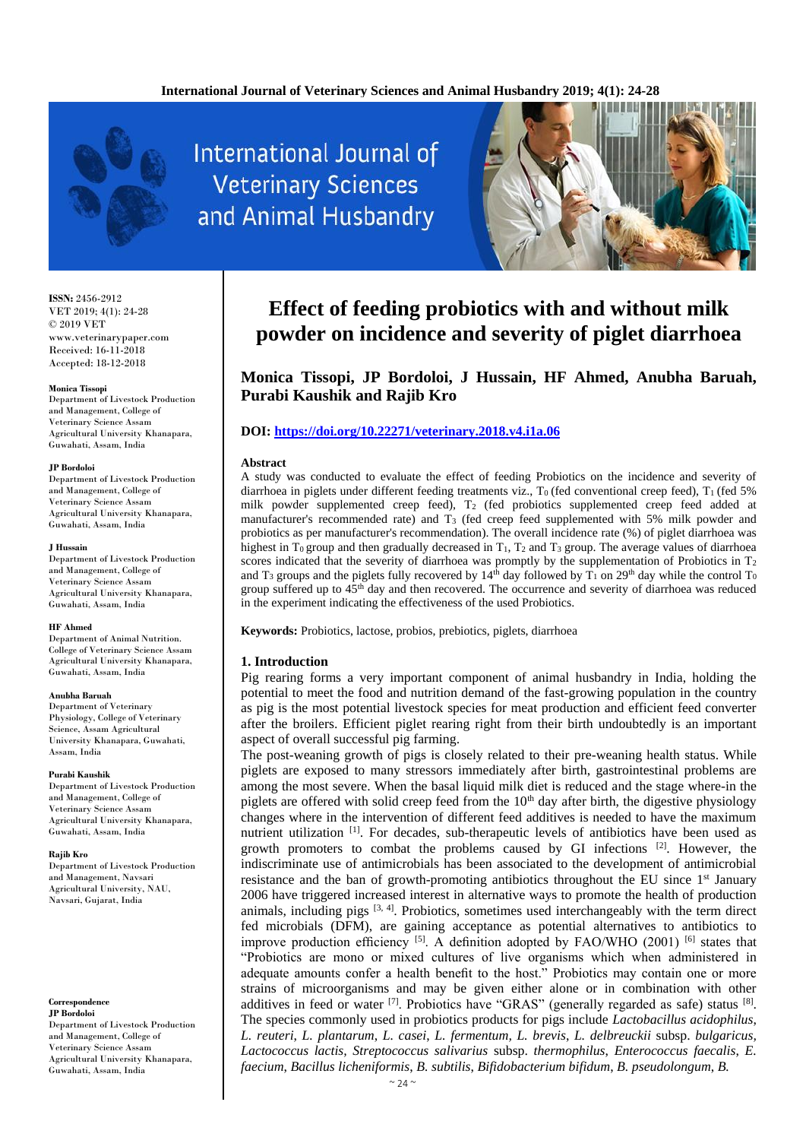

International Journal of **Veterinary Sciences** and Animal Husbandry



**ISSN:** 2456-2912 VET 2019; 4(1): 24-28 © 2019 VET www.veterinarypaper.com Received: 16-11-2018 Accepted: 18-12-2018

### **Monica Tissopi**

Department of Livestock Production and Management, College of Veterinary Science Assam Agricultural University Khanapara, Guwahati, Assam, India

#### **JP Bordoloi**

Department of Livestock Production and Management, College of Veterinary Science Assam Agricultural University Khanapara, Guwahati, Assam, India

#### **J Hussain**

Department of Livestock Production and Management, College of Veterinary Science Assam Agricultural University Khanapara, Guwahati, Assam, India

#### **HF Ahmed**

Department of Animal Nutrition. College of Veterinary Science Assam Agricultural University Khanapara, Guwahati, Assam, India

#### **Anubha Baruah**

Department of Veterinary Physiology, College of Veterinary Science, Assam Agricultural University Khanapara, Guwahati, Assam, India

#### **Purabi Kaushik**

Department of Livestock Production and Management, College of Veterinary Science Assam Agricultural University Khanapara, Guwahati, Assam, India

#### **Rajib Kro**

Department of Livestock Production and Management, Navsari Agricultural University, NAU, Navsari, Gujarat, India

# **Correspondence**

**JP Bordoloi** Department of Livestock Production and Management, College of Veterinary Science Assam Agricultural University Khanapara, Guwahati, Assam, India

# **Effect of feeding probiotics with and without milk powder on incidence and severity of piglet diarrhoea**

**Monica Tissopi, JP Bordoloi, J Hussain, HF Ahmed, Anubha Baruah, Purabi Kaushik and Rajib Kro**

### **DOI[: https://doi.org/10.22271/veterinary.2018.v4.i1a.06](https://doi.org/10.22271/veterinary.2018.v4.i1a.06)**

### **Abstract**

A study was conducted to evaluate the effect of feeding Probiotics on the incidence and severity of diarrhoea in piglets under different feeding treatments viz.,  $T_0$  (fed conventional creep feed),  $T_1$  (fed 5% milk powder supplemented creep feed), T<sub>2</sub> (fed probiotics supplemented creep feed added at manufacturer's recommended rate) and T<sup>3</sup> (fed creep feed supplemented with 5% milk powder and probiotics as per manufacturer's recommendation). The overall incidence rate (%) of piglet diarrhoea was highest in T<sub>0</sub> group and then gradually decreased in T<sub>1</sub>, T<sub>2</sub> and T<sub>3</sub> group. The average values of diarrhoea scores indicated that the severity of diarrhoea was promptly by the supplementation of Probiotics in  $T_2$ and T<sub>3</sub> groups and the piglets fully recovered by  $14<sup>th</sup>$  day followed by  $T_1$  on 29<sup>th</sup> day while the control T<sub>0</sub> group suffered up to 45th day and then recovered. The occurrence and severity of diarrhoea was reduced in the experiment indicating the effectiveness of the used Probiotics.

**Keywords:** Probiotics, lactose, probios, prebiotics, piglets, diarrhoea

### **1. Introduction**

Pig rearing forms a very important component of animal husbandry in India, holding the potential to meet the food and nutrition demand of the fast-growing population in the country as pig is the most potential livestock species for meat production and efficient feed converter after the broilers. Efficient piglet rearing right from their birth undoubtedly is an important aspect of overall successful pig farming.

The post-weaning growth of pigs is closely related to their pre-weaning health status. While piglets are exposed to many stressors immediately after birth, gastrointestinal problems are among the most severe. When the basal liquid milk diet is reduced and the stage where-in the piglets are offered with solid creep feed from the  $10<sup>th</sup>$  day after birth, the digestive physiology changes where in the intervention of different feed additives is needed to have the maximum nutrient utilization [1]. For decades, sub-therapeutic levels of antibiotics have been used as growth promoters to combat the problems caused by GI infections  $[2]$ . However, the indiscriminate use of antimicrobials has been associated to the development of antimicrobial resistance and the ban of growth-promoting antibiotics throughout the EU since 1<sup>st</sup> January 2006 have triggered increased interest in alternative ways to promote the health of production animals, including pigs [3, 4]. Probiotics, sometimes used interchangeably with the term direct fed microbials (DFM), are gaining acceptance as potential alternatives to antibiotics to improve production efficiency  $^{[5]}$ . A definition adopted by FAO/WHO (2001)  $^{[6]}$  states that "Probiotics are mono or mixed cultures of live organisms which when administered in adequate amounts confer a health benefit to the host." Probiotics may contain one or more strains of microorganisms and may be given either alone or in combination with other additives in feed or water  $\left[7\right]$ . Probiotics have "GRAS" (generally regarded as safe) status  $\left[8\right]$ . The species commonly used in probiotics products for pigs include *Lactobacillus acidophilus*, *L. reuteri*, *L. plantarum*, *L. casei*, *L. fermentum, L. brevis*, *L. delbreuckii* subsp. *bulgaricus, Lactococcus lactis, Streptococcus salivarius* subsp. *thermophilus*, *Enterococcus faecalis*, *E. faecium*, *Bacillus licheniformis*, *B. subtilis*, *Bifidobacterium bifidum*, *B. pseudolongum*, *B.*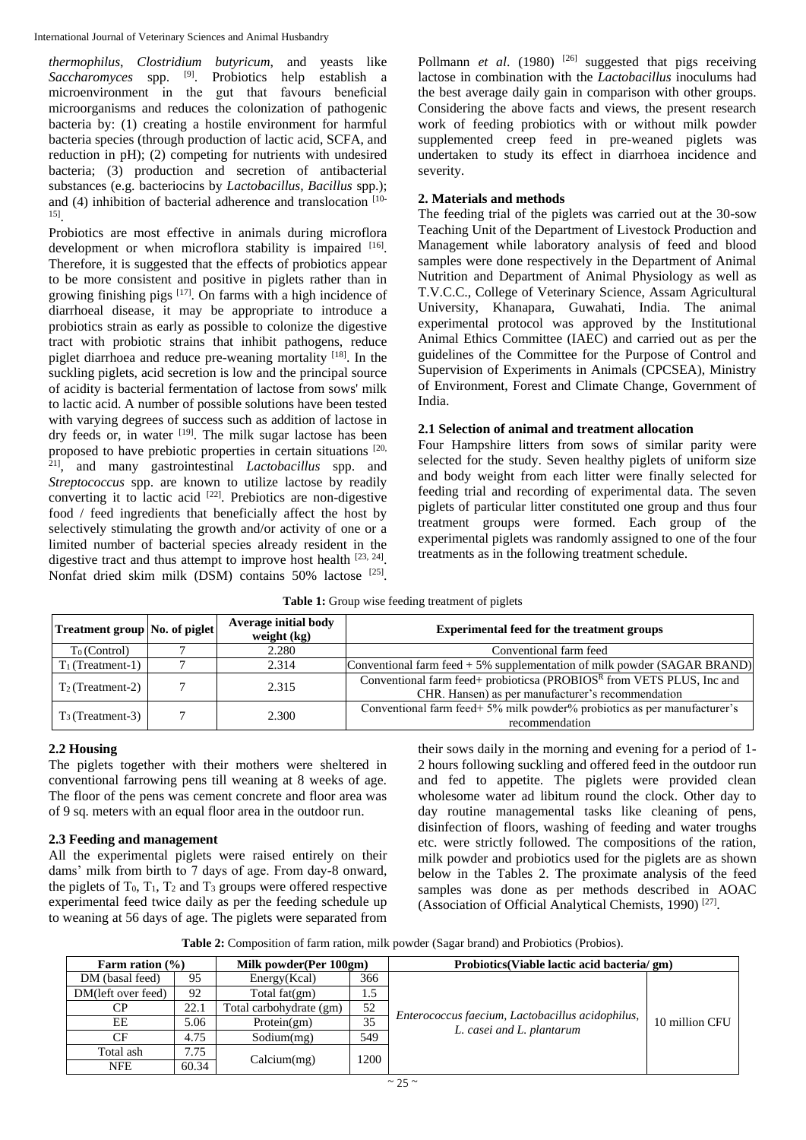International Journal of Veterinary Sciences and Animal Husbandry

*thermophilus*, *Clostridium butyricum*, and yeasts like Saccharomyces spp. <sup>[9]</sup>. Probiotics help establish a microenvironment in the gut that favours beneficial microorganisms and reduces the colonization of pathogenic bacteria by: (1) creating a hostile environment for harmful bacteria species (through production of lactic acid, SCFA, and reduction in pH); (2) competing for nutrients with undesired bacteria; (3) production and secretion of antibacterial substances (e.g. bacteriocins by *Lactobacillus, Bacillus* spp.); and (4) inhibition of bacterial adherence and translocation  $[10-$ 15] .

Probiotics are most effective in animals during microflora development or when microflora stability is impaired [16]. Therefore, it is suggested that the effects of probiotics appear to be more consistent and positive in piglets rather than in growing finishing pigs  $[17]$ . On farms with a high incidence of diarrhoeal disease, it may be appropriate to introduce a probiotics strain as early as possible to colonize the digestive tract with probiotic strains that inhibit pathogens, reduce piglet diarrhoea and reduce pre-weaning mortality [18]. In the suckling piglets, acid secretion is low and the principal source of acidity is bacterial fermentation of lactose from sows' milk to lactic acid. A number of possible solutions have been tested with varying degrees of success such as addition of lactose in dry feeds or, in water [19]. The milk sugar lactose has been proposed to have prebiotic properties in certain situations [20, 21], and many gastrointestinal *Lactobacillus* spp. and *Streptococcus* spp. are known to utilize lactose by readily converting it to lactic acid  $[22]$ . Prebiotics are non-digestive food / feed ingredients that beneficially affect the host by selectively stimulating the growth and/or activity of one or a limited number of bacterial species already resident in the digestive tract and thus attempt to improve host health [23, 24]. Nonfat dried skim milk (DSM) contains 50% lactose [25].

Pollmann *et al.* (1980)<sup>[26]</sup> suggested that pigs receiving lactose in combination with the *Lactobacillus* inoculums had the best average daily gain in comparison with other groups. Considering the above facts and views, the present research work of feeding probiotics with or without milk powder supplemented creep feed in pre-weaned piglets was undertaken to study its effect in diarrhoea incidence and severity.

# **2. Materials and methods**

The feeding trial of the piglets was carried out at the 30-sow Teaching Unit of the Department of Livestock Production and Management while laboratory analysis of feed and blood samples were done respectively in the Department of Animal Nutrition and Department of Animal Physiology as well as T.V.C.C., College of Veterinary Science, Assam Agricultural University, Khanapara, Guwahati, India. The animal experimental protocol was approved by the Institutional Animal Ethics Committee (IAEC) and carried out as per the guidelines of the Committee for the Purpose of Control and Supervision of Experiments in Animals (CPCSEA), Ministry of Environment, Forest and Climate Change, Government of India.

# **2.1 Selection of animal and treatment allocation**

Four Hampshire litters from sows of similar parity were selected for the study. Seven healthy piglets of uniform size and body weight from each litter were finally selected for feeding trial and recording of experimental data. The seven piglets of particular litter constituted one group and thus four treatment groups were formed. Each group of the experimental piglets was randomly assigned to one of the four treatments as in the following treatment schedule.

| Table 1: Group wise feeding treatment of piglets |  |  |  |  |  |
|--------------------------------------------------|--|--|--|--|--|
|--------------------------------------------------|--|--|--|--|--|

| Treatment group No. of piglet | Average initial body<br>weight $(kg)$ | <b>Experimental feed for the treatment groups</b>                                                                          |  |  |
|-------------------------------|---------------------------------------|----------------------------------------------------------------------------------------------------------------------------|--|--|
| $T_0$ (Control)               | 2.280                                 | Conventional farm feed                                                                                                     |  |  |
| $T_1$ (Treatment-1)           | 2.314                                 | Conventional farm feed $+5\%$ supplementation of milk powder (SAGAR BRAND)                                                 |  |  |
| $T_2$ (Treatment-2)           | 2.315                                 | Conventional farm feed+ probioticsa (PROBIOSR from VETS PLUS, Inc and<br>CHR. Hansen) as per manufacturer's recommendation |  |  |
| $T_3$ (Treatment-3)           | 2.300                                 | Conventional farm feed+ 5% milk powder% probiotics as per manufacturer's<br>recommendation                                 |  |  |

# **2.2 Housing**

The piglets together with their mothers were sheltered in conventional farrowing pens till weaning at 8 weeks of age. The floor of the pens was cement concrete and floor area was of 9 sq. meters with an equal floor area in the outdoor run.

# **2.3 Feeding and management**

All the experimental piglets were raised entirely on their dams' milk from birth to 7 days of age. From day-8 onward, the piglets of  $T_0$ ,  $T_1$ ,  $T_2$  and  $T_3$  groups were offered respective experimental feed twice daily as per the feeding schedule up to weaning at 56 days of age. The piglets were separated from

their sows daily in the morning and evening for a period of 1- 2 hours following suckling and offered feed in the outdoor run and fed to appetite. The piglets were provided clean wholesome water ad libitum round the clock. Other day to day routine managemental tasks like cleaning of pens, disinfection of floors, washing of feeding and water troughs etc. were strictly followed. The compositions of the ration, milk powder and probiotics used for the piglets are as shown below in the Tables 2. The proximate analysis of the feed samples was done as per methods described in AOAC (Association of Official Analytical Chemists, 1990)<sup>[27]</sup>.

**Table 2:** Composition of farm ration, milk powder (Sagar brand) and Probiotics (Probios).

| Farm ration $(\% )$ |       | Milk powder(Per 100gm)  |      | Probiotics(Viable lactic acid bacteria/ gm)                                   |                |  |  |  |
|---------------------|-------|-------------------------|------|-------------------------------------------------------------------------------|----------------|--|--|--|
| DM (basal feed)     | 95    | Energy(Kcal)            | 366  |                                                                               |                |  |  |  |
| DM(left over feed)  | 92    | Total $fat(gm)$         | 1.5  |                                                                               |                |  |  |  |
| СP                  | 22.1  | Total carbohydrate (gm) | 52   |                                                                               | 10 million CFU |  |  |  |
| EЕ                  | 5.06  | Protein(gm)             | 35   | Enterococcus faecium, Lactobacillus acidophilus,<br>L. casei and L. plantarum |                |  |  |  |
| CF                  | 4.75  | Sodium(mg)              | 549  |                                                                               |                |  |  |  |
| Total ash           | 7.75  |                         | 1200 |                                                                               |                |  |  |  |
| <b>NFE</b>          | 60.34 | Calcium(mg)             |      |                                                                               |                |  |  |  |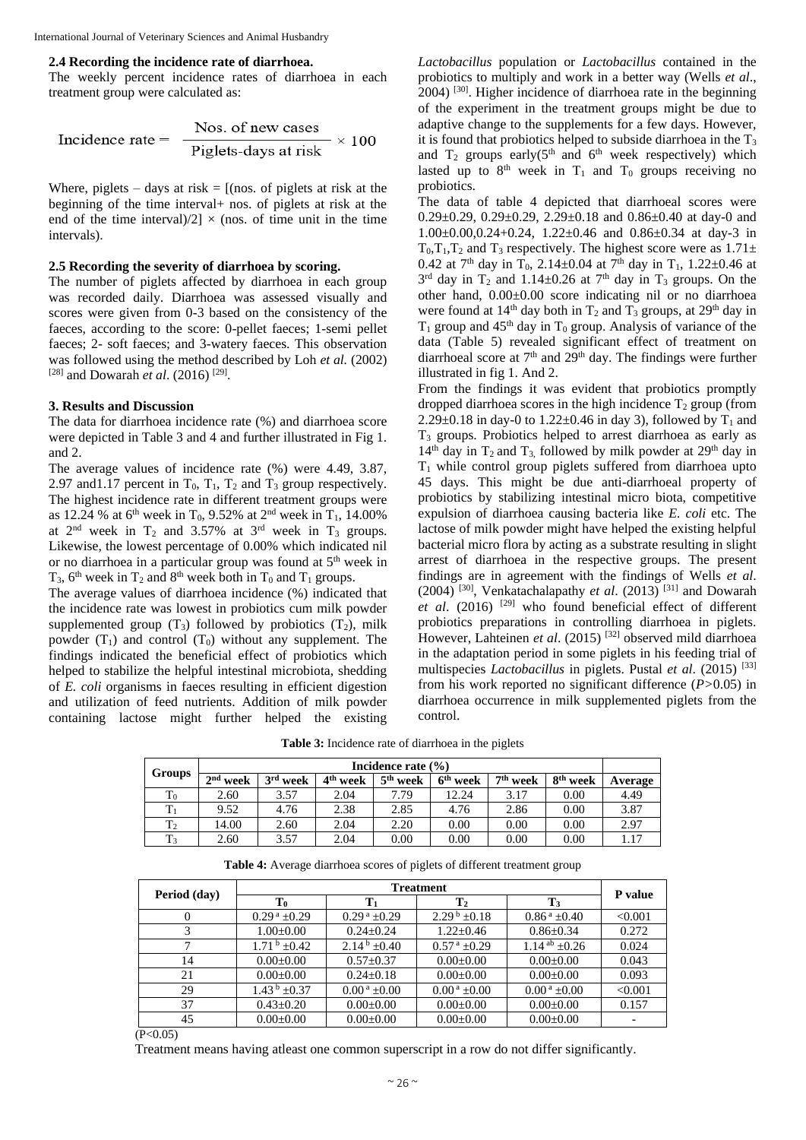### **2.4 Recording the incidence rate of diarrhoea.**

The weekly percent incidence rates of diarrhoea in each treatment group were calculated as:

$$
Incidence rate = \frac{Nos. of new cases}{Piglets-days at risk} \times 100
$$

Where, piglets – days at risk  $=$  [(nos. of piglets at risk at the beginning of the time interval+ nos. of piglets at risk at the end of the time interval)/2]  $\times$  (nos. of time unit in the time intervals).

### **2.5 Recording the severity of diarrhoea by scoring.**

The number of piglets affected by diarrhoea in each group was recorded daily. Diarrhoea was assessed visually and scores were given from 0-3 based on the consistency of the faeces, according to the score: 0-pellet faeces; 1-semi pellet faeces; 2- soft faeces; and 3-watery faeces. This observation was followed using the method described by Loh *et al.* (2002) [28] and Dowarah *et al.* (2016)<sup>[29]</sup>.

### **3. Results and Discussion**

The data for diarrhoea incidence rate (%) and diarrhoea score were depicted in Table 3 and 4 and further illustrated in Fig 1. and 2.

The average values of incidence rate (%) were 4.49, 3.87, 2.97 and 1.17 percent in  $T_0$ ,  $T_1$ ,  $T_2$  and  $T_3$  group respectively. The highest incidence rate in different treatment groups were as 12.24 % at 6<sup>th</sup> week in T<sub>0</sub>, 9.52% at 2<sup>nd</sup> week in T<sub>1</sub>, 14.00% at  $2<sup>nd</sup>$  week in T<sub>2</sub> and 3.57% at  $3<sup>rd</sup>$  week in T<sub>3</sub> groups. Likewise, the lowest percentage of 0.00% which indicated nil or no diarrhoea in a particular group was found at 5th week in  $T_3$ ,  $6^{th}$  week in  $T_2$  and  $8^{th}$  week both in  $T_0$  and  $T_1$  groups.

The average values of diarrhoea incidence (%) indicated that the incidence rate was lowest in probiotics cum milk powder supplemented group  $(T_3)$  followed by probiotics  $(T_2)$ , milk powder  $(T_1)$  and control  $(T_0)$  without any supplement. The findings indicated the beneficial effect of probiotics which helped to stabilize the helpful intestinal microbiota, shedding of *E. coli* organisms in faeces resulting in efficient digestion and utilization of feed nutrients. Addition of milk powder containing lactose might further helped the existing

*Lactobacillus* population or *Lactobacillus* contained in the probiotics to multiply and work in a better way (Wells *et al*., 2004)<sup>[30]</sup>. Higher incidence of diarrhoea rate in the beginning of the experiment in the treatment groups might be due to adaptive change to the supplements for a few days. However, it is found that probiotics helped to subside diarrhoea in the  $T_3$ and  $T_2$  groups early(5<sup>th</sup> and 6<sup>th</sup> week respectively) which lasted up to  $8<sup>th</sup>$  week in T<sub>1</sub> and T<sub>0</sub> groups receiving no probiotics.

The data of table 4 depicted that diarrhoeal scores were 0.29 $\pm$ 0.29, 0.29 $\pm$ 0.29, 2.29 $\pm$ 0.18 and 0.86 $\pm$ 0.40 at day-0 and 1.00±0.00,0.24+0.24, 1.22±0.46 and 0.86±0.34 at day-3 in  $T_0, T_1, T_2$  and  $T_3$  respectively. The highest score were as  $1.71 \pm 1.7$ 0.42 at 7<sup>th</sup> day in T<sub>0</sub>, 2.14±0.04 at 7<sup>th</sup> day in T<sub>1</sub>, 1.22±0.46 at  $3<sup>rd</sup>$  day in T<sub>2</sub> and 1.14±0.26 at 7<sup>th</sup> day in T<sub>3</sub> groups. On the other hand, 0.00±0.00 score indicating nil or no diarrhoea were found at  $14<sup>th</sup>$  day both in T<sub>2</sub> and T<sub>3</sub> groups, at 29<sup>th</sup> day in  $T_1$  group and 45<sup>th</sup> day in  $T_0$  group. Analysis of variance of the data (Table 5) revealed significant effect of treatment on diarrhoeal score at  $7<sup>th</sup>$  and  $29<sup>th</sup>$  day. The findings were further illustrated in fig 1. And 2.

From the findings it was evident that probiotics promptly dropped diarrhoea scores in the high incidence  $T_2$  group (from 2.29 $\pm$ 0.18 in day-0 to 1.22 $\pm$ 0.46 in day 3), followed by T<sub>1</sub> and T<sup>3</sup> groups. Probiotics helped to arrest diarrhoea as early as  $14<sup>th</sup>$  day in T<sub>2</sub> and T<sub>3</sub>, followed by milk powder at 29<sup>th</sup> day in  $T_1$  while control group piglets suffered from diarrhoea upto 45 days. This might be due anti-diarrhoeal property of probiotics by stabilizing intestinal micro biota, competitive expulsion of diarrhoea causing bacteria like *E. coli* etc. The lactose of milk powder might have helped the existing helpful bacterial micro flora by acting as a substrate resulting in slight arrest of diarrhoea in the respective groups. The present findings are in agreement with the findings of Wells *et al*.  $(2004)$ <sup>[30]</sup>, Venkatachalapathy *et al.*  $(2013)$ <sup>[31]</sup> and Dowarah *et al*. (2016) [29] who found beneficial effect of different probiotics preparations in controlling diarrhoea in piglets. However, Lahteinen *et al*. (2015) [32] observed mild diarrhoea in the adaptation period in some piglets in his feeding trial of multispecies *Lactobacillus* in piglets. Pustal *et al*. (2015) [33] from his work reported no significant difference (*P>*0.05) in diarrhoea occurrence in milk supplemented piglets from the control.

**Table 3:** Incidence rate of diarrhoea in the piglets

|        | Incidence rate $(\% )$ |            |                      |                      |                      |                      |                      |         |
|--------|------------------------|------------|----------------------|----------------------|----------------------|----------------------|----------------------|---------|
| Groups | $2nd$ week             | $3rd$ week | 4 <sup>th</sup> week | 5 <sup>th</sup> week | 6 <sup>th</sup> week | 7 <sup>th</sup> week | 8 <sup>th</sup> week | Average |
| $T_0$  | 2.60                   | 3.57       | 2.04                 | 7.79                 | 12.24                | 3.17                 | 0.00                 | 4.49    |
|        | 9.52                   | 4.76       | 2.38                 | 2.85                 | 4.76                 | 2.86                 | 0.00                 | 3.87    |
| $T_2$  | 14.00                  | 2.60       | 2.04                 | 2.20                 | 0.00                 | 0.00                 | 0.00                 | 2.97    |
| $T_3$  | 2.60                   | 3.57       | 2.04                 | 0.00                 | 0.00                 | 0.00                 | 0.00                 | 1.17    |

**Table 4:** Average diarrhoea scores of piglets of different treatment group

| Period (day) | $T_0$                                   | Tı                       | $\mathbf{T}_2$                 | $\mathbf{T}_3$           | P value |  |
|--------------|-----------------------------------------|--------------------------|--------------------------------|--------------------------|---------|--|
| $\theta$     | $0.29^{\text{ a}}$ ±0.29                | $0.29^{\text{ a}}$ ±0.29 | $2.29^{\mathrm{b}}$ $\pm 0.18$ | $0.86^{\text{ a}}$ ±0.40 | < 0.001 |  |
|              | $1.00 \pm 0.00$                         | $0.24 + 0.24$            | $1.22 + 0.46$                  | $0.86 \pm 0.34$          | 0.272   |  |
|              | $1.71^{\mathrm{b}} + 0.42^{\mathrm{c}}$ | $2.14^{b} + 0.40$        | $0.57^{\text{ a}}$ ±0.29       | 1.14 ab $\pm 0.26$       | 0.024   |  |
| 14           | $0.00 \pm 0.00$                         | $0.57 \pm 0.37$          | $0.00 \pm 0.00$                | $0.00 \pm 0.00$          | 0.043   |  |
| 21           | $0.00+0.00$                             | $0.24 \pm 0.18$          | $0.00 \pm 0.00$                | $0.00 \pm 0.00$          | 0.093   |  |
| 29           | $1.43^{\mathrm{b}}$ $\pm 0.37$          | $0.00^{\text{ a}}$ ±0.00 | $0.00^{\text{ a}}$ ±0.00       | $0.00^{\text{ a}}$ ±0.00 | < 0.001 |  |
| 37           | $0.43 \pm 0.20$                         | $0.00 \pm 0.00$          | $0.00 \pm 0.00$                | $0.00 \pm 0.00$          | 0.157   |  |
| 45           | $0.00 \pm 0.00$                         | $0.00 \pm 0.00$          | $0.00 \pm 0.00$                | $0.00 \pm 0.00$          |         |  |

 $(P<0.05)$ 

Treatment means having atleast one common superscript in a row do not differ significantly.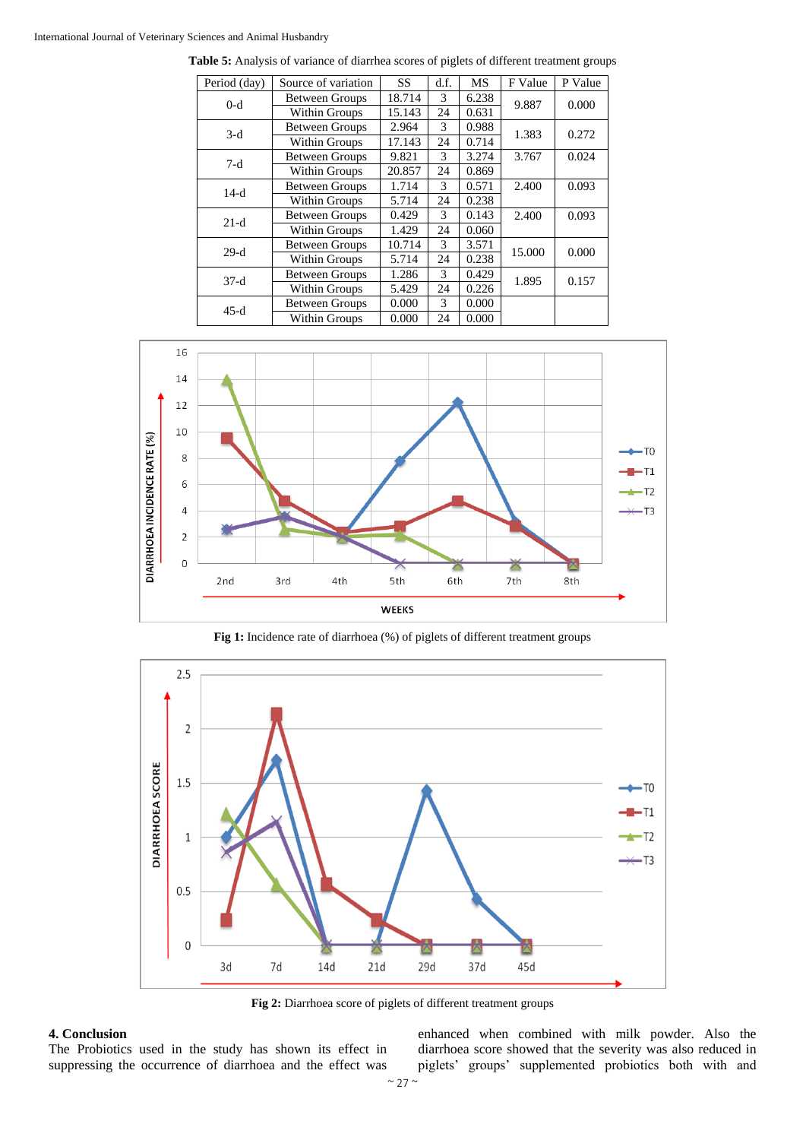### International Journal of Veterinary Sciences and Animal Husbandry

| Period (day) | Source of variation   | <b>SS</b>            | d.f.          | <b>MS</b> | F Value | P Value |
|--------------|-----------------------|----------------------|---------------|-----------|---------|---------|
| $0-d$        | <b>Between Groups</b> | 18.714               | 3             | 6.238     | 9.887   | 0.000   |
|              | Within Groups         | 15.143               | 24            | 0.631     |         |         |
| $3-d$        | <b>Between Groups</b> | 2.964                | 3             | 0.988     | 1.383   | 0.272   |
|              | Within Groups         | 17.143               | 24            | 0.714     |         |         |
|              | <b>Between Groups</b> | 9.821                | 3             | 3.274     | 3.767   | 0.024   |
| $7-d$        | Within Groups         | 20.857               | 24            | 0.869     |         |         |
| $14-d$       | <b>Between Groups</b> | 1.714                | 3             | 0.571     | 2.400   | 0.093   |
|              | Within Groups         | 5.714                | 24            | 0.238     |         |         |
| $21-d$       | <b>Between Groups</b> | 0.429                | 3             | 0.143     | 2.400   | 0.093   |
|              | Within Groups         | 1.429                | 24            | 0.060     |         |         |
| $29-d$       | <b>Between Groups</b> | 10.714               | $\mathcal{F}$ | 3.571     | 15.000  | 0.000   |
|              | Within Groups         | 5.714                | 24            | 0.238     |         |         |
| $37-d$       | <b>Between Groups</b> | 1.286                | 3             | 0.429     | 1.895   | 0.157   |
|              | Within Groups         | 24<br>0.226<br>5.429 |               |           |         |         |
| $45-d$       | <b>Between Groups</b> | 0.000                | 3             | 0.000     |         |         |
|              | Within Groups         | 0.000                | 24            | 0.000     |         |         |

**Table 5:** Analysis of variance of diarrhea scores of piglets of different treatment groups



**Fig 1:** Incidence rate of diarrhoea (%) of piglets of different treatment groups



**Fig 2:** Diarrhoea score of piglets of different treatment groups

### **4. Conclusion**

The Probiotics used in the study has shown its effect in suppressing the occurrence of diarrhoea and the effect was

enhanced when combined with milk powder. Also the diarrhoea score showed that the severity was also reduced in piglets' groups' supplemented probiotics both with and